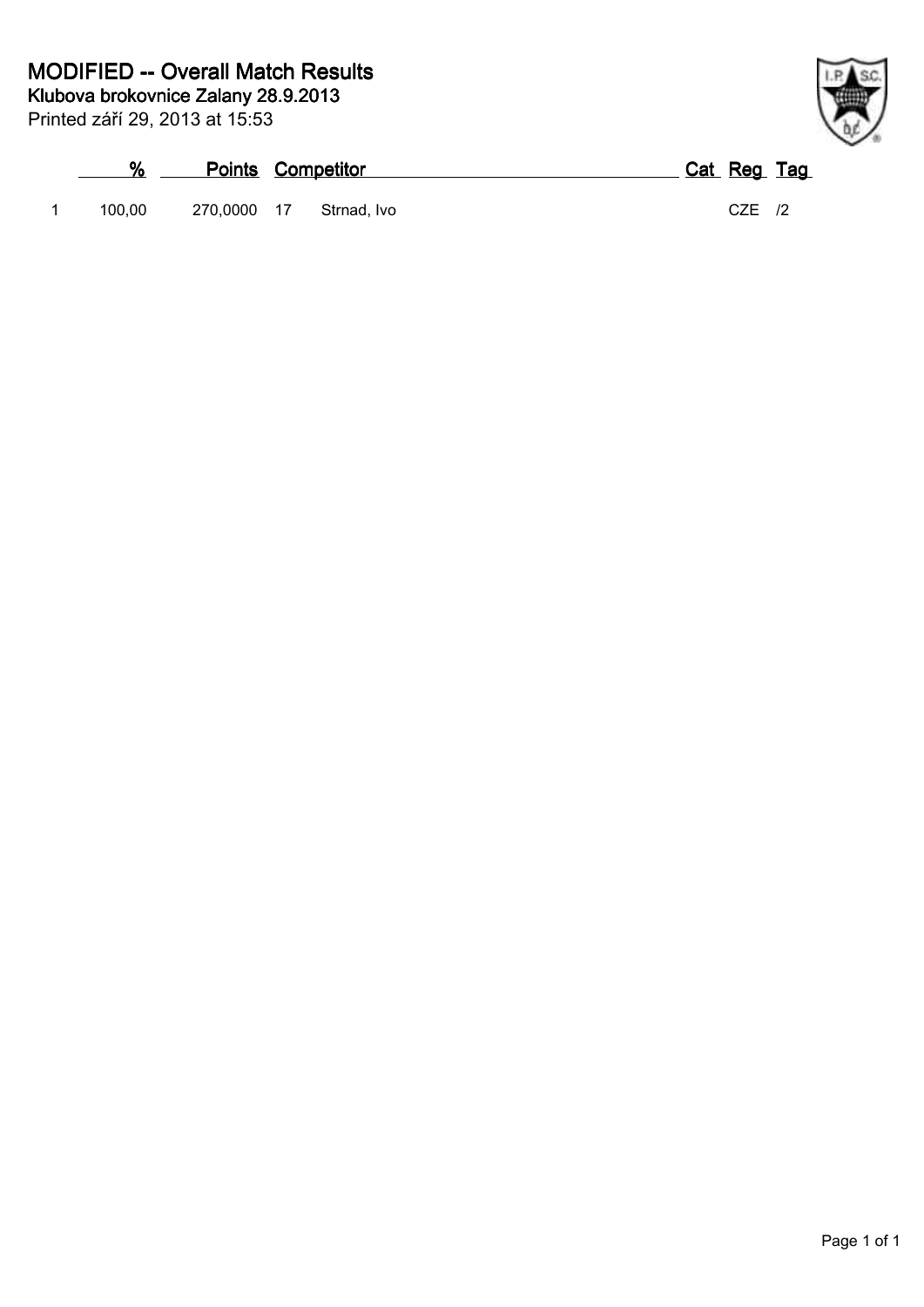|        | <b>Points Competitor</b> |  | Cat Reg Tag |  |
|--------|--------------------------|--|-------------|--|
| 100.00 | 270,0000 17 Strnad, Ivo  |  | CZE         |  |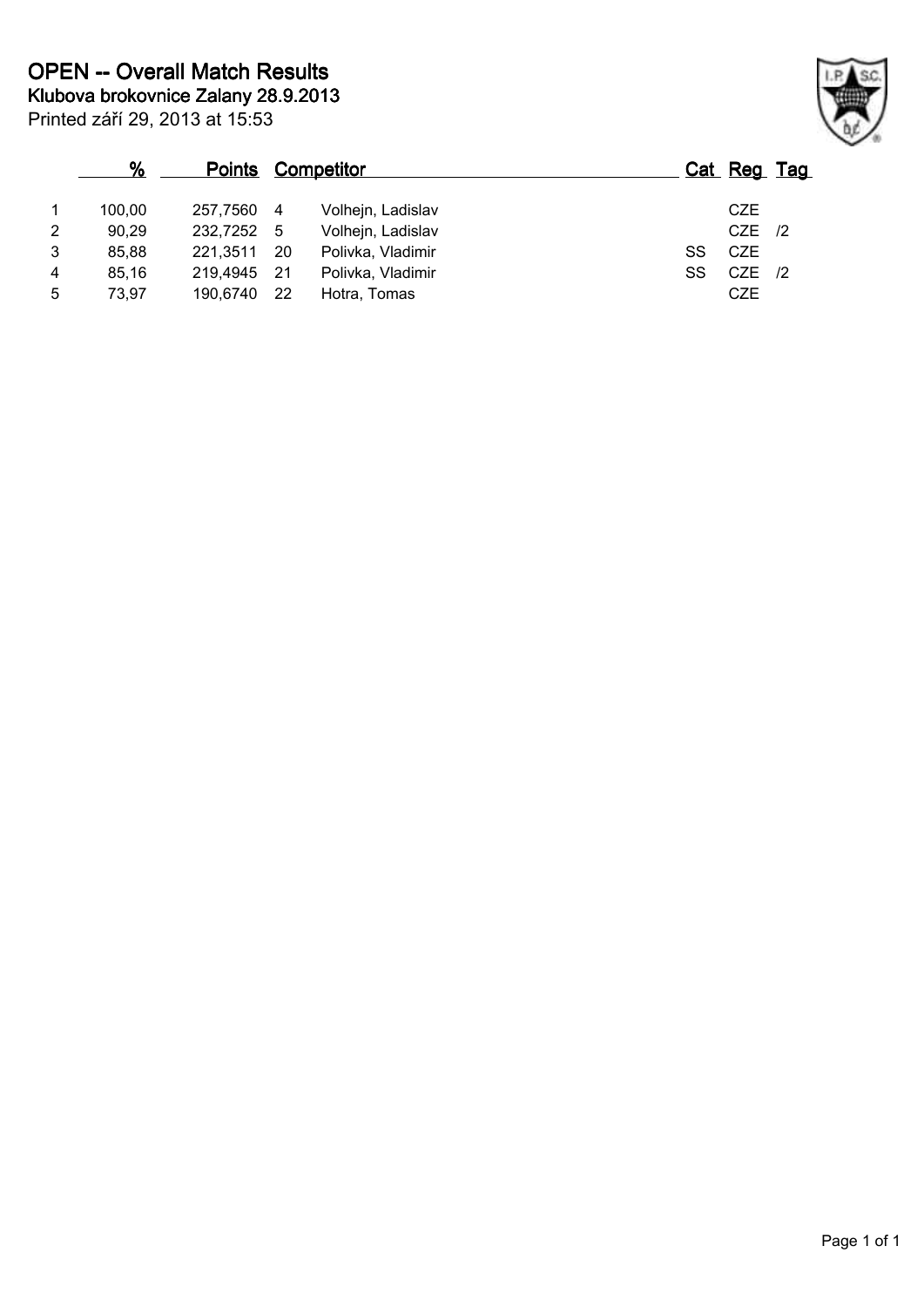|                | %               |                        | <b>Points Competitor</b> |                                        |    | Cat Reg Tag            |  |
|----------------|-----------------|------------------------|--------------------------|----------------------------------------|----|------------------------|--|
| $\overline{2}$ | 100.00<br>90,29 | 257.7560<br>232,7252 5 | -4                       | Volhejn, Ladislav<br>Volhejn, Ladislav |    | CZE<br>$CZE$ /2        |  |
| 3              | 85.88           | 221,3511               | - 20                     | Polivka, Vladimir                      | SS | <b>CZE</b>             |  |
| 4<br>5         | 85.16<br>73,97  | 219,4945<br>190,6740   | -21<br>-22               | Polivka, Vladimir<br>Hotra, Tomas      | SS | $CZE$ /2<br><b>CZE</b> |  |